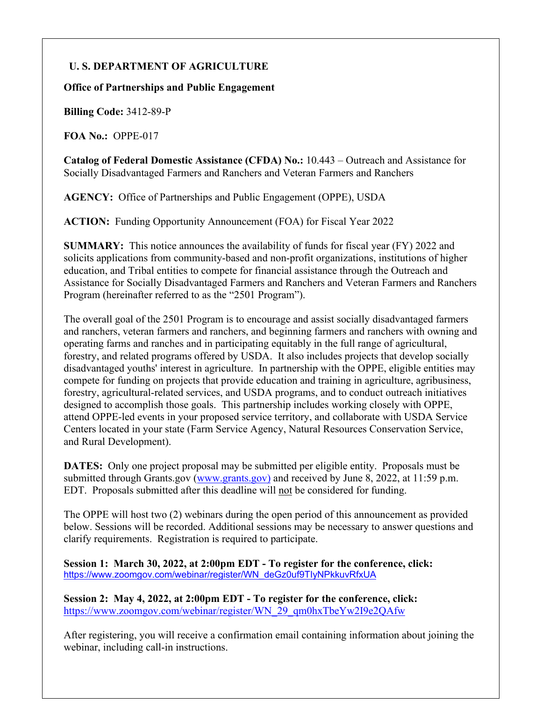# **U. S. DEPARTMENT OF AGRICULTURE**

#### **Office of Partnerships and Public Engagement**

**Billing Code:** 3412-89-P

**FOA No.:** OPPE-017

**Catalog of Federal Domestic Assistance (CFDA) No.:** 10.443 – Outreach and Assistance for Socially Disadvantaged Farmers and Ranchers and Veteran Farmers and Ranchers

**AGENCY:** Office of Partnerships and Public Engagement (OPPE), USDA

**ACTION:** Funding Opportunity Announcement (FOA) for Fiscal Year 2022

**SUMMARY:** This notice announces the availability of funds for fiscal year (FY) 2022 and solicits applications from community-based and non-profit organizations, institutions of higher education, and Tribal entities to compete for financial assistance through the Outreach and Assistance for Socially Disadvantaged Farmers and Ranchers and Veteran Farmers and Ranchers Program (hereinafter referred to as the "2501 Program").

The overall goal of the 2501 Program is to encourage and assist socially disadvantaged farmers and ranchers, veteran farmers and ranchers, and beginning farmers and ranchers with owning and operating farms and ranches and in participating equitably in the full range of agricultural, forestry, and related programs offered by USDA. It also includes projects that develop socially disadvantaged youths' interest in agriculture. In partnership with the OPPE, eligible entities may compete for funding on projects that provide education and training in agriculture, agribusiness, forestry, agricultural-related services, and USDA programs, and to conduct outreach initiatives designed to accomplish those goals. This partnership includes working closely with OPPE, attend OPPE-led events in your proposed service territory, and collaborate with USDA Service Centers located in your state (Farm Service Agency, Natural Resources Conservation Service, and Rural Development).

**DATES:** Only one project proposal may be submitted per eligible entity. Proposals must be submitted through Grants.gov [\(www.grants.gov\)](http://www.grants.gov/) and received by June 8, 2022, at 11:59 p.m. EDT. Proposals submitted after this deadline will not be considered for funding.

The OPPE will host two (2) webinars during the open period of this announcement as provided below. Sessions will be recorded. Additional sessions may be necessary to answer questions and clarify requirements. Registration is required to participate.

**Session 1: March 30, 2022, at 2:00pm EDT - To register for the conference, click:**  [https://www.zoomgov.com/webinar/register/WN\\_deGz0uf9TIyNPkkuvRfxUA](https://gcc02.safelinks.protection.outlook.com/?url=https%3A%2F%2Fwww.zoomgov.com%2Fwebinar%2Fregister%2FWN_deGz0uf9TIyNPkkuvRfxUA&data=04%7C01%7C%7C87c3dc683d22479dfb3e08d9fdf2a346%7Ced5b36e701ee4ebc867ee03cfa0d4697%7C0%7C0%7C637820040821725552%7CUnknown%7CTWFpbGZsb3d8eyJWIjoiMC4wLjAwMDAiLCJQIjoiV2luMzIiLCJBTiI6Ik1haWwiLCJXVCI6Mn0%3D%7C3000&sdata=ylGWsepOcMnRSaVoYjs%2BuRJ6z0Hkn2bTG3%2F3pB191%2FY%3D&reserved=0)

**Session 2: May 4, 2022, at 2:00pm EDT - To register for the conference, click:**  [https://www.zoomgov.com/webinar/register/WN\\_29\\_qm0hxTbeYw2I9e2QAfw](https://gcc02.safelinks.protection.outlook.com/?url=https%3A%2F%2Fwww.zoomgov.com%2Fwebinar%2Fregister%2FWN_29_qm0hxTbeYw2I9e2QAfw&data=04%7C01%7C%7C21f09a70b3924b5bdb3908d9fdf2a8f9%7Ced5b36e701ee4ebc867ee03cfa0d4697%7C0%7C0%7C637820040918427473%7CUnknown%7CTWFpbGZsb3d8eyJWIjoiMC4wLjAwMDAiLCJQIjoiV2luMzIiLCJBTiI6Ik1haWwiLCJXVCI6Mn0%3D%7C3000&sdata=NAHkkBEkwL08oUJIxGS2WZFscIuhDyjipo1Vk8AersU%3D&reserved=0)

After registering, you will receive a confirmation email containing information about joining the webinar, including call-in instructions.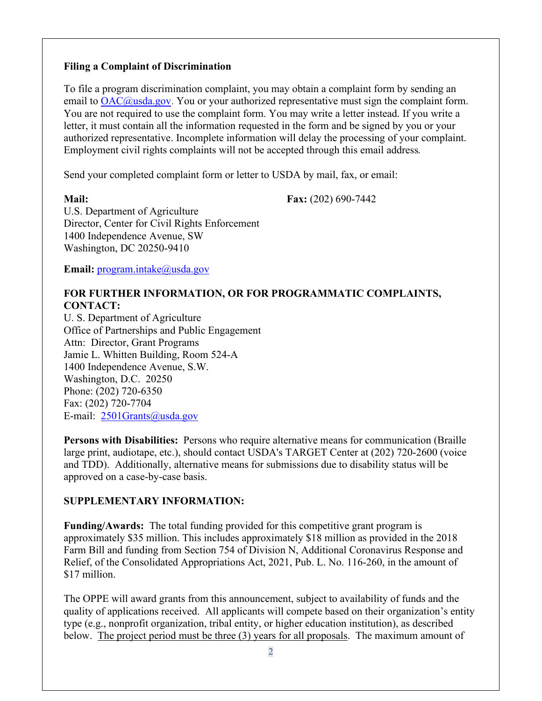#### **Filing a Complaint of Discrimination**

To file a program discrimination complaint, you may obtain a complaint form by sending an email to [OAC@usda.gov.](mailto:Cr-info@ascr.usda.gov) You or your authorized representative must sign the complaint form. You are not required to use the complaint form. You may write a letter instead. If you write a letter, it must contain all the information requested in the form and be signed by you or your authorized representative. Incomplete information will delay the processing of your complaint. Employment civil rights complaints will not be accepted through this email address*.*

Send your completed complaint form or letter to USDA by mail, fax, or email:

**Mail: Fax:** (202) 690-7442

U.S. Department of Agriculture Director, Center for Civil Rights Enforcement 1400 Independence Avenue, SW Washington, DC 20250-9410

**Email:** [program.intake@usda.gov](mailto:program.intake@usda.gov)

# **FOR FURTHER INFORMATION, OR FOR PROGRAMMATIC COMPLAINTS, CONTACT:**

U. S. Department of Agriculture Office of Partnerships and Public Engagement Attn: Director, Grant Programs Jamie L. Whitten Building, Room 524-A 1400 Independence Avenue, S.W. Washington, D.C. 20250 Phone: (202) 720-6350 Fax: (202) 720-7704 E-mail: [2501Grants@usda.gov](mailto:2501grants@usda.gov)

**Persons with Disabilities:** Persons who require alternative means for communication (Braille large print, audiotape, etc.), should contact USDA's TARGET Center at (202) 720-2600 (voice and TDD). Additionally, alternative means for submissions due to disability status will be approved on a case-by-case basis.

# **SUPPLEMENTARY INFORMATION:**

**Funding/Awards:** The total funding provided for this competitive grant program is approximately \$35 million. This includes approximately \$18 million as provided in the 2018 Farm Bill and funding from Section 754 of Division N, Additional Coronavirus Response and Relief, of the Consolidated Appropriations Act, 2021, Pub. L. No. 116-260, in the amount of \$17 million.

The OPPE will award grants from this announcement, subject to availability of funds and the quality of applications received. All applicants will compete based on their organization's entity type (e.g., nonprofit organization, tribal entity, or higher education institution), as described below. The project period must be three (3) years for all proposals. The maximum amount of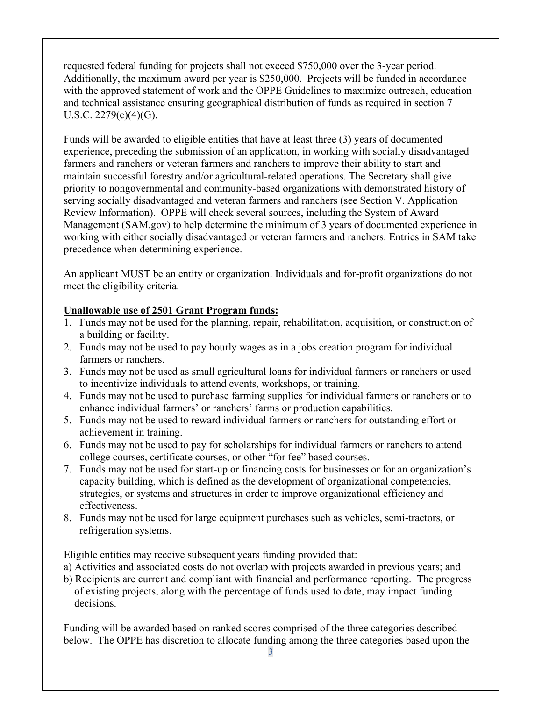requested federal funding for projects shall not exceed \$750,000 over the 3-year period. Additionally, the maximum award per year is \$250,000. Projects will be funded in accordance with the approved statement of work and the OPPE Guidelines to maximize outreach, education and technical assistance ensuring geographical distribution of funds as required in section 7 U.S.C. 2279(c)(4)(G).

Funds will be awarded to eligible entities that have at least three (3) years of documented experience, preceding the submission of an application, in working with socially disadvantaged farmers and ranchers or veteran farmers and ranchers to improve their ability to start and maintain successful forestry and/or agricultural-related operations. The Secretary shall give priority to nongovernmental and community-based organizations with demonstrated history of serving socially disadvantaged and veteran farmers and ranchers (see Section V. Application Review Information). OPPE will check several sources, including the System of Award Management (SAM.gov) to help determine the minimum of 3 years of documented experience in working with either socially disadvantaged or veteran farmers and ranchers. Entries in SAM take precedence when determining experience.

An applicant MUST be an entity or organization. Individuals and for-profit organizations do not meet the eligibility criteria.

# **Unallowable use of 2501 Grant Program funds:**

- 1. Funds may not be used for the planning, repair, rehabilitation, acquisition, or construction of a building or facility.
- 2. Funds may not be used to pay hourly wages as in a jobs creation program for individual farmers or ranchers.
- 3. Funds may not be used as small agricultural loans for individual farmers or ranchers or used to incentivize individuals to attend events, workshops, or training.
- 4. Funds may not be used to purchase farming supplies for individual farmers or ranchers or to enhance individual farmers' or ranchers' farms or production capabilities.
- 5. Funds may not be used to reward individual farmers or ranchers for outstanding effort or achievement in training.
- 6. Funds may not be used to pay for scholarships for individual farmers or ranchers to attend college courses, certificate courses, or other "for fee" based courses.
- 7. Funds may not be used for start-up or financing costs for businesses or for an organization's capacity building, which is defined as the development of organizational competencies, strategies, or systems and structures in order to improve organizational efficiency and effectiveness.
- 8. Funds may not be used for large equipment purchases such as vehicles, semi-tractors, or refrigeration systems.

Eligible entities may receive subsequent years funding provided that:

- a) Activities and associated costs do not overlap with projects awarded in previous years; and
- b) Recipients are current and compliant with financial and performance reporting. The progress of existing projects, along with the percentage of funds used to date, may impact funding decisions.

Funding will be awarded based on ranked scores comprised of the three categories described below. The OPPE has discretion to allocate funding among the three categories based upon the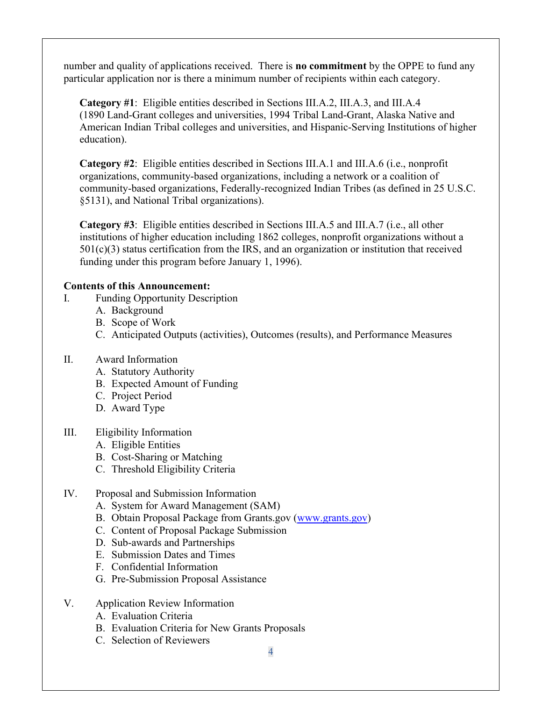number and quality of applications received. There is **no commitment** by the OPPE to fund any particular application nor is there a minimum number of recipients within each category.

**Category #1**: Eligible entities described in Sections III.A.2, III.A.3, and III.A.4 (1890 Land-Grant colleges and universities, 1994 Tribal Land-Grant, Alaska Native and American Indian Tribal colleges and universities, and Hispanic-Serving Institutions of higher education).

**Category #2**: Eligible entities described in Sections III.A.1 and III.A.6 (i.e., nonprofit organizations, community-based organizations, including a network or a coalition of community-based organizations, Federally-recognized Indian Tribes (as defined in 25 U.S.C. §5131), and National Tribal organizations).

**Category #3**: Eligible entities described in Sections III.A.5 and III.A.7 (i.e., all other institutions of higher education including 1862 colleges, nonprofit organizations without a  $501(c)(3)$  status certification from the IRS, and an organization or institution that received funding under this program before January 1, 1996).

### **Contents of this Announcement:**

- I. Funding Opportunity Description
	- A. Background
	- B. Scope of Work
	- C. Anticipated Outputs (activities), Outcomes (results), and Performance Measures

#### II. Award Information

- A. Statutory Authority
- B. Expected Amount of Funding
- C. Project Period
- D. Award Type

## III. Eligibility Information

- A. Eligible Entities
- B. Cost-Sharing or Matching
- C. Threshold Eligibility Criteria

## IV. Proposal and Submission Information

- A. System for Award Management (SAM)
- B. Obtain Proposal Package from Grants.gov [\(www.grants.gov\)](http://www.grants.gov/)
- C. Content of Proposal Package Submission
- D. Sub-awards and Partnerships
- E. Submission Dates and Times
- F. Confidential Information
- G. Pre-Submission Proposal Assistance
- V. Application Review Information
	- A. Evaluation Criteria
	- B. Evaluation Criteria for New Grants Proposals
	- C. Selection of Reviewers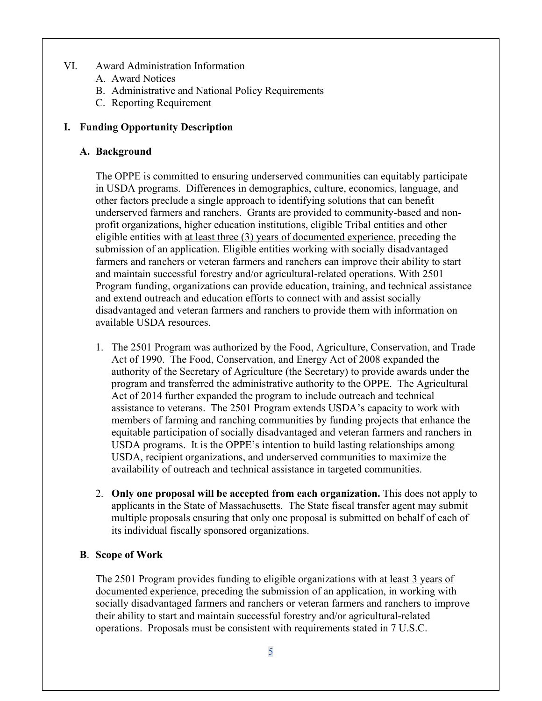#### VI. Award Administration Information

- A. Award Notices
- B. Administrative and National Policy Requirements
- C. Reporting Requirement

# **I. Funding Opportunity Description**

## **A. Background**

The OPPE is committed to ensuring underserved communities can equitably participate in USDA programs. Differences in demographics, culture, economics, language, and other factors preclude a single approach to identifying solutions that can benefit underserved farmers and ranchers. Grants are provided to community-based and nonprofit organizations, higher education institutions, eligible Tribal entities and other eligible entities with at least three (3) years of documented experience, preceding the submission of an application. Eligible entities working with socially disadvantaged farmers and ranchers or veteran farmers and ranchers can improve their ability to start and maintain successful forestry and/or agricultural-related operations. With 2501 Program funding, organizations can provide education, training, and technical assistance and extend outreach and education efforts to connect with and assist socially disadvantaged and veteran farmers and ranchers to provide them with information on available USDA resources.

- 1. The 2501 Program was authorized by the Food, Agriculture, Conservation, and Trade Act of 1990. The Food, Conservation, and Energy Act of 2008 expanded the authority of the Secretary of Agriculture (the Secretary) to provide awards under the program and transferred the administrative authority to the OPPE. The Agricultural Act of 2014 further expanded the program to include outreach and technical assistance to veterans. The 2501 Program extends USDA's capacity to work with members of farming and ranching communities by funding projects that enhance the equitable participation of socially disadvantaged and veteran farmers and ranchers in USDA programs. It is the OPPE's intention to build lasting relationships among USDA, recipient organizations, and underserved communities to maximize the availability of outreach and technical assistance in targeted communities.
- 2. **Only one proposal will be accepted from each organization.** This does not apply to applicants in the State of Massachusetts. The State fiscal transfer agent may submit multiple proposals ensuring that only one proposal is submitted on behalf of each of its individual fiscally sponsored organizations.

## **B**. **Scope of Work**

The 2501 Program provides funding to eligible organizations with at least 3 years of documented experience, preceding the submission of an application, in working with socially disadvantaged farmers and ranchers or veteran farmers and ranchers to improve their ability to start and maintain successful forestry and/or agricultural-related operations. Proposals must be consistent with requirements stated in 7 U.S.C.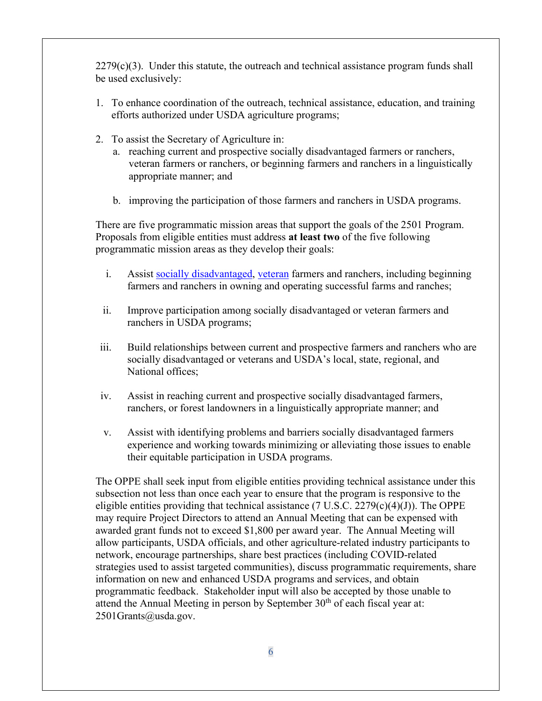$2279(c)(3)$ . Under this statute, the outreach and technical assistance program funds shall be used exclusively:

- 1. To enhance coordination of the outreach, technical assistance, education, and training efforts authorized under USDA agriculture programs;
- 2. To assist the Secretary of Agriculture in:
	- a. reaching current and prospective socially disadvantaged farmers or ranchers, veteran farmers or ranchers, or beginning farmers and ranchers in a linguistically appropriate manner; and
	- b. improving the participation of those farmers and ranchers in USDA programs.

There are five programmatic mission areas that support the goals of the 2501 Program. Proposals from eligible entities must address **at least two** of the five following programmatic mission areas as they develop their goals:

- i. Assist [socially disadvantaged, veteran](https://www.govregs.com/uscode/title7_chapter55_section2279) farmers and ranchers, including beginning farmers and ranchers in owning and operating successful farms and ranches;
- ii. Improve participation among socially disadvantaged or veteran farmers and ranchers in USDA programs;
- iii. Build relationships between current and prospective farmers and ranchers who are socially disadvantaged or veterans and USDA's local, state, regional, and National offices;
- iv. Assist in reaching current and prospective socially disadvantaged farmers, ranchers, or forest landowners in a linguistically appropriate manner; and
- v. Assist with identifying problems and barriers socially disadvantaged farmers experience and working towards minimizing or alleviating those issues to enable their equitable participation in USDA programs.

The OPPE shall seek input from eligible entities providing technical assistance under this subsection not less than once each year to ensure that the program is responsive to the eligible entities providing that technical assistance  $(7 \text{ U.S.C. } 2279(c)(4)(J))$ . The OPPE may require Project Directors to attend an Annual Meeting that can be expensed with awarded grant funds not to exceed \$1,800 per award year. The Annual Meeting will allow participants, USDA officials, and other agriculture-related industry participants to network, encourage partnerships, share best practices (including COVID-related strategies used to assist targeted communities), discuss programmatic requirements, share information on new and enhanced USDA programs and services, and obtain programmatic feedback. Stakeholder input will also be accepted by those unable to attend the Annual Meeting in person by September  $30<sup>th</sup>$  of each fiscal year at: 2501Grants@usda.gov.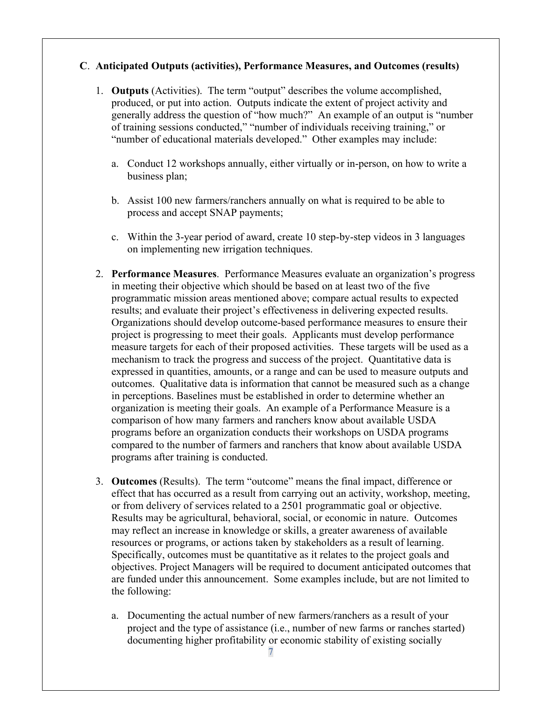#### **C**. **Anticipated Outputs (activities), Performance Measures, and Outcomes (results)**

- 1. **Outputs** (Activities). The term "output" describes the volume accomplished, produced, or put into action. Outputs indicate the extent of project activity and generally address the question of "how much?" An example of an output is "number of training sessions conducted," "number of individuals receiving training," or "number of educational materials developed." Other examples may include:
	- a. Conduct 12 workshops annually, either virtually or in-person, on how to write a business plan;
	- b. Assist 100 new farmers/ranchers annually on what is required to be able to process and accept SNAP payments;
	- c. Within the 3-year period of award, create 10 step-by-step videos in 3 languages on implementing new irrigation techniques.
- 2. **Performance Measures**. Performance Measures evaluate an organization's progress in meeting their objective which should be based on at least two of the five programmatic mission areas mentioned above; compare actual results to expected results; and evaluate their project's effectiveness in delivering expected results. Organizations should develop outcome-based performance measures to ensure their project is progressing to meet their goals. Applicants must develop performance measure targets for each of their proposed activities. These targets will be used as a mechanism to track the progress and success of the project. Quantitative data is expressed in quantities, amounts, or a range and can be used to measure outputs and outcomes. Qualitative data is information that cannot be measured such as a change in perceptions. Baselines must be established in order to determine whether an organization is meeting their goals. An example of a Performance Measure is a comparison of how many farmers and ranchers know about available USDA programs before an organization conducts their workshops on USDA programs compared to the number of farmers and ranchers that know about available USDA programs after training is conducted.
- 3. **Outcomes** (Results). The term "outcome" means the final impact, difference or effect that has occurred as a result from carrying out an activity, workshop, meeting, or from delivery of services related to a 2501 programmatic goal or objective. Results may be agricultural, behavioral, social, or economic in nature. Outcomes may reflect an increase in knowledge or skills, a greater awareness of available resources or programs, or actions taken by stakeholders as a result of learning. Specifically, outcomes must be quantitative as it relates to the project goals and objectives. Project Managers will be required to document anticipated outcomes that are funded under this announcement. Some examples include, but are not limited to the following:
	- a. Documenting the actual number of new farmers/ranchers as a result of your project and the type of assistance (i.e., number of new farms or ranches started) documenting higher profitability or economic stability of existing socially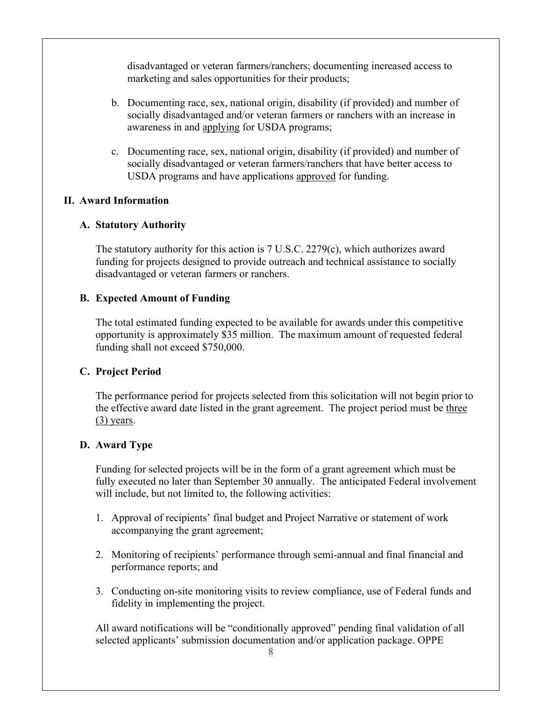disadvantaged or veteran farmers/ranchers; documenting increased access to marketing and sales opportunities for their products;

- b. Documenting race, sex, national origin, disability (if provided) and number of socially disadvantaged and/or veteran farmers or ranchers with an increase in awareness in and applying for USDA programs;
- c. Documenting race, sex, national origin, disability (if provided) and number of socially disadvantaged or veteran farmers/ranchers that have better access to USDA programs and have applications approved for funding.

### **II. Award Information**

### **A. Statutory Authority**

The statutory authority for this action is  $7 \text{ U.S.C. } 2279(c)$ , which authorizes award funding for projects designed to provide outreach and technical assistance to socially disadvantaged or veteran farmers or ranchers.

### **B. Expected Amount of Funding**

The total estimated funding expected to be available for awards under this competitive opportunity is approximately \$35 million. The maximum amount of requested federal funding shall not exceed \$750,000.

## **C. Project Period**

The performance period for projects selected from this solicitation will not begin prior to the effective award date listed in the grant agreement. The project period must be three (3) years.

## **D. Award Type**

Funding for selected projects will be in the form of a grant agreement which must be fully executed no later than September 30 annually. The anticipated Federal involvement will include, but not limited to, the following activities:

- 1. Approval of recipients' final budget and Project Narrative or statement of work accompanying the grant agreement;
- 2. Monitoring of recipients' performance through semi-annual and final financial and performance reports; and
- 3. Conducting on-site monitoring visits to review compliance, use of Federal funds and fidelity in implementing the project.

All award notifications will be "conditionally approved" pending final validation of all selected applicants' submission documentation and/or application package. OPPE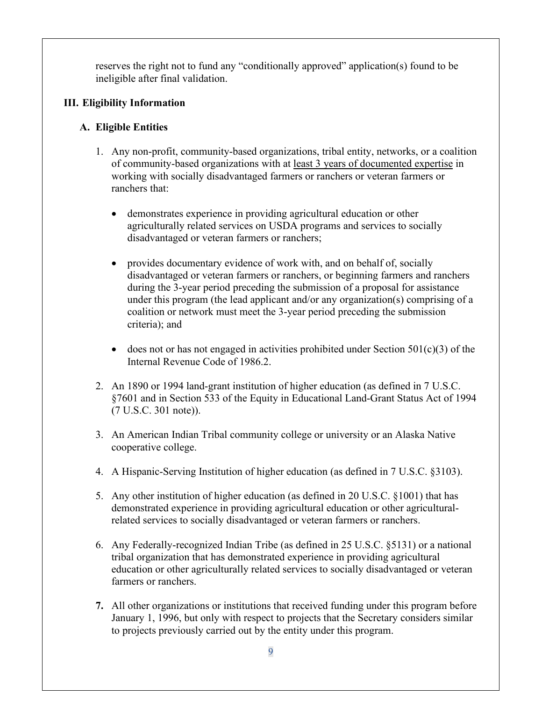reserves the right not to fund any "conditionally approved" application(s) found to be ineligible after final validation.

# **III. Eligibility Information**

# **A. Eligible Entities**

- 1. Any non-profit, community-based organizations, tribal entity, networks, or a coalition of community-based organizations with at least 3 years of documented expertise in working with socially disadvantaged farmers or ranchers or veteran farmers or ranchers that:
	- demonstrates experience in providing agricultural education or other agriculturally related services on USDA programs and services to socially disadvantaged or veteran farmers or ranchers;
	- provides documentary evidence of work with, and on behalf of, socially disadvantaged or veteran farmers or ranchers, or beginning farmers and ranchers during the 3-year period preceding the submission of a proposal for assistance under this program (the lead applicant and/or any organization(s) comprising of a coalition or network must meet the 3-year period preceding the submission criteria); and
	- does not or has not engaged in activities prohibited under Section  $501(c)(3)$  of the Internal Revenue Code of 1986.2.
- 2. An 1890 or 1994 land-grant institution of higher education (as defined in 7 U.S.C. §7601 and in Section 533 of the Equity in Educational Land-Grant Status Act of 1994 (7 U.S.C. 301 note)).
- 3. An American Indian Tribal community college or university or an Alaska Native cooperative college.
- 4. A Hispanic-Serving Institution of higher education (as defined in 7 U.S.C. §3103).
- 5. Any other institution of higher education (as defined in 20 U.S.C. §1001) that has demonstrated experience in providing agricultural education or other agriculturalrelated services to socially disadvantaged or veteran farmers or ranchers.
- 6. Any Federally-recognized Indian Tribe (as defined in 25 U.S.C. §5131) or a national tribal organization that has demonstrated experience in providing agricultural education or other agriculturally related services to socially disadvantaged or veteran farmers or ranchers.
- **7.** All other organizations or institutions that received funding under this program before January 1, 1996, but only with respect to projects that the Secretary considers similar to projects previously carried out by the entity under this program.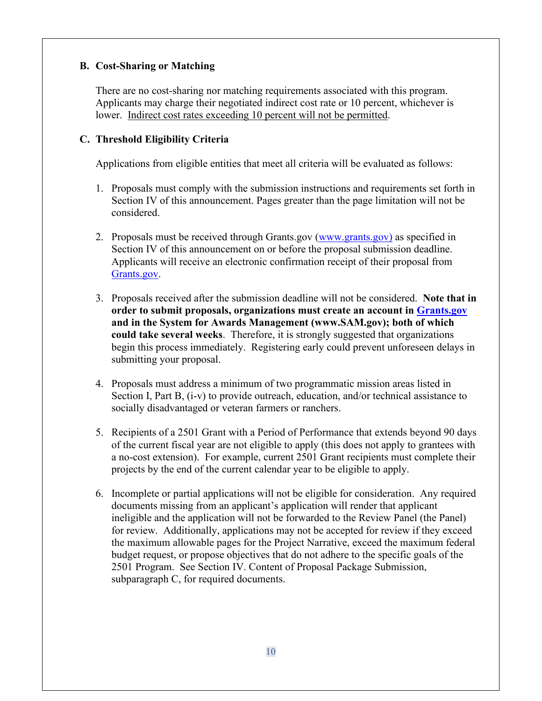# **B. Cost-Sharing or Matching**

There are no cost-sharing nor matching requirements associated with this program. Applicants may charge their negotiated indirect cost rate or 10 percent, whichever is lower. Indirect cost rates exceeding 10 percent will not be permitted.

# **C. Threshold Eligibility Criteria**

Applications from eligible entities that meet all criteria will be evaluated as follows:

- 1. Proposals must comply with the submission instructions and requirements set forth in Section IV of this announcement. Pages greater than the page limitation will not be considered.
- 2. Proposals must be received through Grants.gov [\(www.grants.gov\)](http://www.grants.gov/) as specified in Section IV of this announcement on or before the proposal submission deadline. Applicants will receive an electronic confirmation receipt of their proposal from [Grants.gov.](http://www.grants.gov/)
- 3. Proposals received after the submission deadline will not be considered. **Note that in order to submit proposals, organizations must create an account in [Grants.gov](http://www.grants.gov/) and in the System for Awards Management (www.SAM.gov); both of which could take several weeks**. Therefore, it is strongly suggested that organizations begin this process immediately. Registering early could prevent unforeseen delays in submitting your proposal.
- 4. Proposals must address a minimum of two programmatic mission areas listed in Section I, Part B, (i-v) to provide outreach, education, and/or technical assistance to socially disadvantaged or veteran farmers or ranchers.
- 5. Recipients of a 2501 Grant with a Period of Performance that extends beyond 90 days of the current fiscal year are not eligible to apply (this does not apply to grantees with a no-cost extension). For example, current 2501 Grant recipients must complete their projects by the end of the current calendar year to be eligible to apply.
- 6. Incomplete or partial applications will not be eligible for consideration. Any required documents missing from an applicant's application will render that applicant ineligible and the application will not be forwarded to the Review Panel (the Panel) for review. Additionally, applications may not be accepted for review if they exceed the maximum allowable pages for the Project Narrative, exceed the maximum federal budget request, or propose objectives that do not adhere to the specific goals of the 2501 Program. See Section IV. Content of Proposal Package Submission, subparagraph C, for required documents.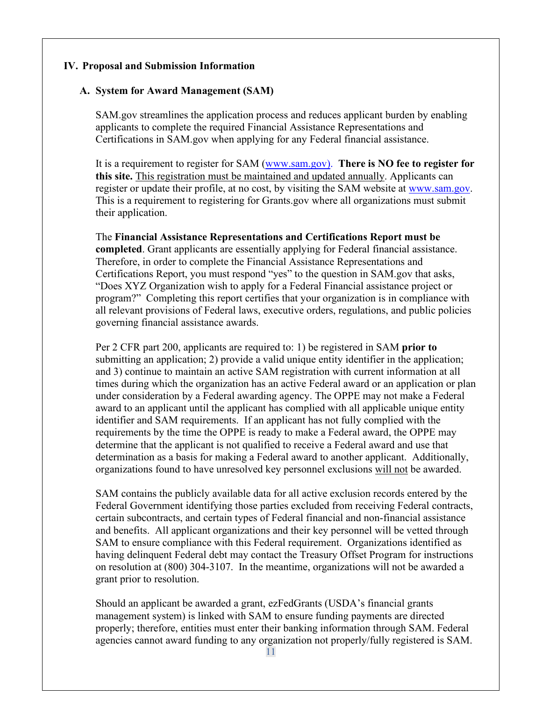#### **IV. Proposal and Submission Information**

## **A. System for Award Management (SAM)**

SAM.gov streamlines the application process and reduces applicant burden by enabling applicants to complete the required Financial Assistance Representations and Certifications in SAM.gov when applying for any Federal financial assistance.

It is a requirement to register for SAM [\(www.sam.gov\)](http://www.sam.gov/). **There is NO fee to register for this site.** This registration must be maintained and updated annually. Applicants can register or update their profile, at no cost, by visiting the SAM website at [www.sam.gov.](http://www.sam.gov/) This is a requirement to registering for Grants.gov where all organizations must submit their application.

The **Financial Assistance Representations and Certifications Report must be completed**. Grant applicants are essentially applying for Federal financial assistance. Therefore, in order to complete the Financial Assistance Representations and Certifications Report, you must respond "yes" to the question in SAM.gov that asks, "Does XYZ Organization wish to apply for a Federal Financial assistance project or program?" Completing this report certifies that your organization is in compliance with all relevant provisions of Federal laws, executive orders, regulations, and public policies governing financial assistance awards.

Per 2 CFR part 200, applicants are required to: 1) be registered in SAM **prior to** submitting an application; 2) provide a valid unique entity identifier in the application; and 3) continue to maintain an active SAM registration with current information at all times during which the organization has an active Federal award or an application or plan under consideration by a Federal awarding agency. The OPPE may not make a Federal award to an applicant until the applicant has complied with all applicable unique entity identifier and SAM requirements. If an applicant has not fully complied with the requirements by the time the OPPE is ready to make a Federal award, the OPPE may determine that the applicant is not qualified to receive a Federal award and use that determination as a basis for making a Federal award to another applicant. Additionally, organizations found to have unresolved key personnel exclusions will not be awarded.

SAM contains the publicly available data for all active exclusion records entered by the Federal Government identifying those parties excluded from receiving Federal contracts, certain subcontracts, and certain types of Federal financial and non-financial assistance and benefits. All applicant organizations and their key personnel will be vetted through SAM to ensure compliance with this Federal requirement. Organizations identified as having delinquent Federal debt may contact the Treasury Offset Program for instructions on resolution at (800) 304-3107. In the meantime, organizations will not be awarded a grant prior to resolution.

Should an applicant be awarded a grant, ezFedGrants (USDA's financial grants management system) is linked with [SAM](https://gcc02.safelinks.protection.outlook.com/?url=http%3A%2F%2Fwww.SAM.gov&data=02%7C01%7C%7C58a5fa54ef3148acbb7108d7217db27b%7Ced5b36e701ee4ebc867ee03cfa0d4697%7C0%7C0%7C637014696066441521&sdata=lookP21nte4PcPXBoWQtJi%2BitImQx5mzqLKlCJMvlqI%3D&reserved=0) to ensure funding payments are directed properly; therefore, entities must enter their banking information through [SAM.](https://gcc02.safelinks.protection.outlook.com/?url=http%3A%2F%2Fwww.SAM.gov&data=02%7C01%7C%7C58a5fa54ef3148acbb7108d7217db27b%7Ced5b36e701ee4ebc867ee03cfa0d4697%7C0%7C0%7C637014696066451532&sdata=m686DO5ZHYuYvQdtaMCCV76KB0436vaxf6LRS71mJ%2B0%3D&reserved=0) Federal agencies cannot award funding to any organization not properly/fully registered is SAM.

11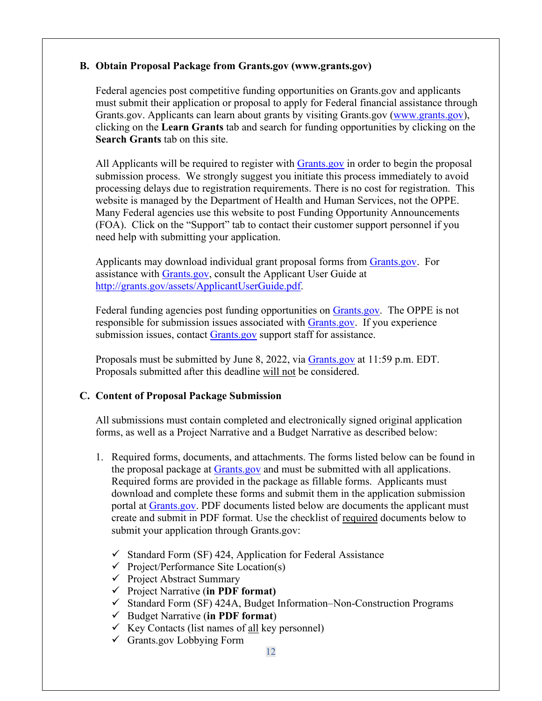### **B. Obtain Proposal Package from Grants.gov (www.grants.gov)**

Federal agencies post competitive funding opportunities on Grants.gov and applicants must submit their application or proposal to apply for Federal financial assistance through Grants.gov. Applicants can learn about grants by visiting Grants.gov [\(www.grants.gov\)](http://www.grants.gov/), clicking on the **Learn Grants** tab and search for funding opportunities by clicking on the **Search Grants** tab on this site.

All Applicants will be required to register with **Grants** gov in order to begin the proposal submission process. We strongly suggest you initiate this process immediately to avoid processing delays due to registration requirements. There is no cost for registration. This website is managed by the Department of Health and Human Services, not the OPPE. Many Federal agencies use this website to post Funding Opportunity Announcements (FOA). Click on the "Support" tab to contact their customer support personnel if you need help with submitting your application.

Applicants may download individual grant proposal forms from [Grants.gov.](http://grants.gov/) For assistance with [Grants.gov,](http://www.grants.gov/) consult the Applicant User Guide at [http://grants.gov/assets/ApplicantUserGuide.pdf.](http://grants.gov/assets/ApplicantUserGuide.pdf)

Federal funding agencies post funding opportunities on [Grants.gov.](http://www.grants.gov/) The OPPE is not responsible for submission issues associated with [Grants.gov.](http://www.grants.gov/) If you experience submission issues, contact [Grants.gov](http://www.grants.gov/) support staff for assistance.

Proposals must be submitted by June 8, 2022, via [Grants.gov](http://www.grants.gov/) at 11:59 p.m. EDT. Proposals submitted after this deadline will not be considered.

## **C. Content of Proposal Package Submission**

All submissions must contain completed and electronically signed original application forms, as well as a Project Narrative and a Budget Narrative as described below:

- 1. Required forms, documents, and attachments. The forms listed below can be found in the proposal package at [Grants.gov](http://www.grants.gov/) and must be submitted with all applications. Required forms are provided in the package as fillable forms. Applicants must download and complete these forms and submit them in the application submission portal at [Grants.gov.](http://www.grants.gov/) PDF documents listed below are documents the applicant must create and submit in PDF format. Use the checklist of required documents below to submit your application through Grants.gov:
	- $\checkmark$  Standard Form (SF) 424, Application for Federal Assistance
	- $\checkmark$  Project/Performance Site Location(s)
	- $\checkmark$  Project Abstract Summary
	- Project Narrative (**in PDF format)**
	- $\checkmark$  Standard Form (SF) 424A, Budget Information–Non-Construction Programs
	- Budget Narrative (**in PDF format**)
	- $\checkmark$  Key Contacts (list names of all key personnel)
	- Grants.gov Lobbying Form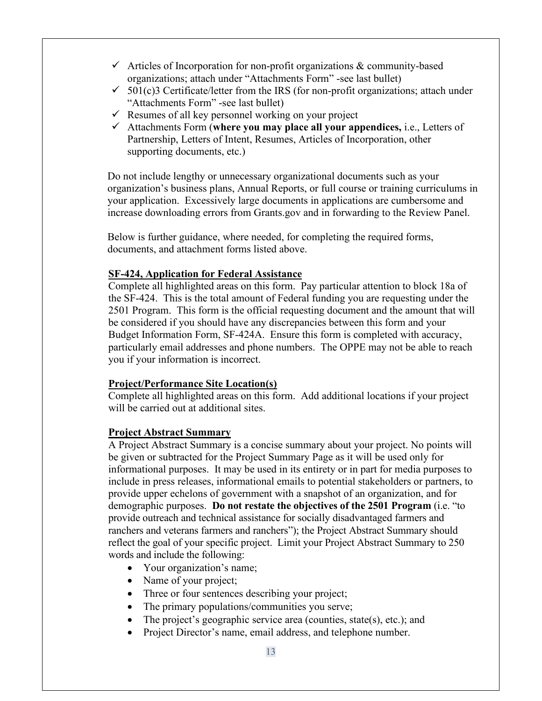- $\checkmark$  Articles of Incorporation for non-profit organizations & community-based organizations; attach under "Attachments Form" -see last bullet)
- $\checkmark$  501(c)3 Certificate/letter from the IRS (for non-profit organizations; attach under "Attachments Form" -see last bullet)
- $\checkmark$  Resumes of all key personnel working on your project
- Attachments Form (**where you may place all your appendices,** i.e., Letters of Partnership, Letters of Intent, Resumes, Articles of Incorporation, other supporting documents, etc.)

Do not include lengthy or unnecessary organizational documents such as your organization's business plans, Annual Reports, or full course or training curriculums in your application. Excessively large documents in applications are cumbersome and increase downloading errors from Grants.gov and in forwarding to the Review Panel.

Below is further guidance, where needed, for completing the required forms, documents, and attachment forms listed above.

### **SF-424, Application for Federal Assistance**

Complete all highlighted areas on this form. Pay particular attention to block 18a of the SF-424. This is the total amount of Federal funding you are requesting under the 2501 Program. This form is the official requesting document and the amount that will be considered if you should have any discrepancies between this form and your Budget Information Form, SF-424A. Ensure this form is completed with accuracy, particularly email addresses and phone numbers. The OPPE may not be able to reach you if your information is incorrect.

#### **Project/Performance Site Location(s)**

Complete all highlighted areas on this form. Add additional locations if your project will be carried out at additional sites.

#### **Project Abstract Summary**

A Project Abstract Summary is a concise summary about your project. No points will be given or subtracted for the Project Summary Page as it will be used only for informational purposes. It may be used in its entirety or in part for media purposes to include in press releases, informational emails to potential stakeholders or partners, to provide upper echelons of government with a snapshot of an organization, and for demographic purposes. **Do not restate the objectives of the 2501 Program** (i.e. "to provide outreach and technical assistance for socially disadvantaged farmers and ranchers and veterans farmers and ranchers"); the Project Abstract Summary should reflect the goal of your specific project. Limit your Project Abstract Summary to 250 words and include the following:

- Your organization's name;
- Name of your project;
- Three or four sentences describing your project;
- The primary populations/communities you serve;
- The project's geographic service area (counties, state(s), etc.); and
- Project Director's name, email address, and telephone number.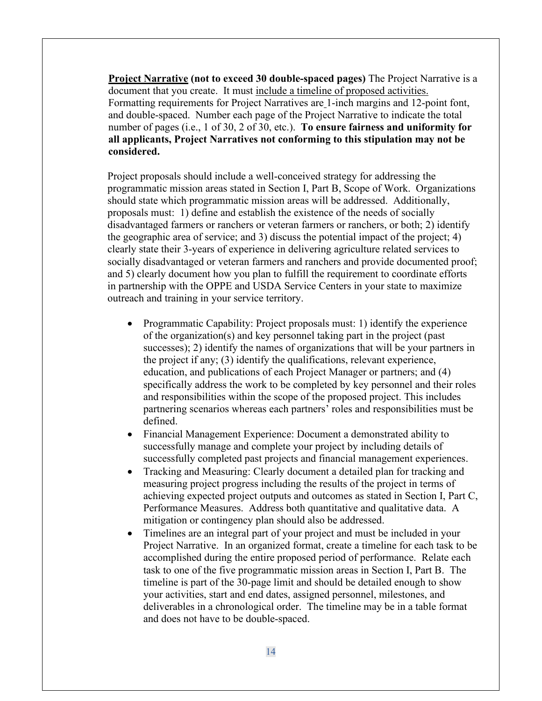**Project Narrative (not to exceed 30 double-spaced pages)** The Project Narrative is a document that you create. It must include a timeline of proposed activities. Formatting requirements for Project Narratives are 1-inch margins and 12-point font, and double-spaced. Number each page of the Project Narrative to indicate the total number of pages (i.e., 1 of 30, 2 of 30, etc.). **To ensure fairness and uniformity for all applicants, Project Narratives not conforming to this stipulation may not be considered.**

Project proposals should include a well-conceived strategy for addressing the programmatic mission areas stated in Section I, Part B, Scope of Work. Organizations should state which programmatic mission areas will be addressed. Additionally, proposals must: 1) define and establish the existence of the needs of socially disadvantaged farmers or ranchers or veteran farmers or ranchers, or both; 2) identify the geographic area of service; and 3) discuss the potential impact of the project; 4) clearly state their 3-years of experience in delivering agriculture related services to socially disadvantaged or veteran farmers and ranchers and provide documented proof; and 5) clearly document how you plan to fulfill the requirement to coordinate efforts in partnership with the OPPE and USDA Service Centers in your state to maximize outreach and training in your service territory.

- Programmatic Capability: Project proposals must: 1) identify the experience of the organization(s) and key personnel taking part in the project (past successes); 2) identify the names of organizations that will be your partners in the project if any; (3) identify the qualifications, relevant experience, education, and publications of each Project Manager or partners; and (4) specifically address the work to be completed by key personnel and their roles and responsibilities within the scope of the proposed project. This includes partnering scenarios whereas each partners' roles and responsibilities must be defined.
- Financial Management Experience: Document a demonstrated ability to successfully manage and complete your project by including details of successfully completed past projects and financial management experiences.
- Tracking and Measuring: Clearly document a detailed plan for tracking and measuring project progress including the results of the project in terms of achieving expected project outputs and outcomes as stated in Section I, Part C, Performance Measures. Address both quantitative and qualitative data. A mitigation or contingency plan should also be addressed.
- Timelines are an integral part of your project and must be included in your Project Narrative. In an organized format, create a timeline for each task to be accomplished during the entire proposed period of performance. Relate each task to one of the five programmatic mission areas in Section I, Part B. The timeline is part of the 30-page limit and should be detailed enough to show your activities, start and end dates, assigned personnel, milestones, and deliverables in a chronological order. The timeline may be in a table format and does not have to be double-spaced.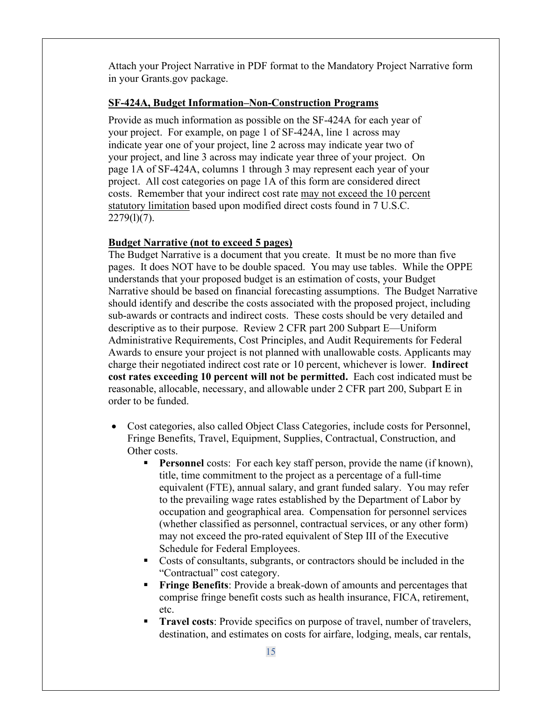Attach your Project Narrative in PDF format to the Mandatory Project Narrative form in your Grants.gov package.

### **SF-424A, Budget Information–Non-Construction Programs**

Provide as much information as possible on the SF-424A for each year of your project. For example, on page 1 of SF-424A, line 1 across may indicate year one of your project, line 2 across may indicate year two of your project, and line 3 across may indicate year three of your project. On page 1A of SF-424A, columns 1 through 3 may represent each year of your project. All cost categories on page 1A of this form are considered direct costs. Remember that your indirect cost rate may not exceed the 10 percent statutory limitation based upon modified direct costs found in 7 U.S.C.  $2279(1)(7)$ .

### **Budget Narrative (not to exceed 5 pages)**

The Budget Narrative is a document that you create. It must be no more than five pages. It does NOT have to be double spaced. You may use tables. While the OPPE understands that your proposed budget is an estimation of costs, your Budget Narrative should be based on financial forecasting assumptions. The Budget Narrative should identify and describe the costs associated with the proposed project, including sub-awards or contracts and indirect costs. These costs should be very detailed and descriptive as to their purpose. Review 2 CFR part 200 Subpart E—Uniform Administrative Requirements, Cost Principles, and Audit Requirements for Federal Awards to ensure your project is not planned with unallowable costs. Applicants may charge their negotiated indirect cost rate or 10 percent, whichever is lower. **Indirect cost rates exceeding 10 percent will not be permitted.** Each cost indicated must be reasonable, allocable, necessary, and allowable under 2 CFR part 200, Subpart E in order to be funded.

- Cost categories, also called Object Class Categories, include costs for Personnel, Fringe Benefits, Travel, Equipment, Supplies, Contractual, Construction, and Other costs.
	- **Personnel** costs: For each key staff person, provide the name (if known), title, time commitment to the project as a percentage of a full-time equivalent (FTE), annual salary, and grant funded salary. You may refer to the prevailing wage rates established by the Department of Labor by occupation and geographical area. Compensation for personnel services (whether classified as personnel, contractual services, or any other form) may not exceed the pro-rated equivalent of Step III of the Executive Schedule for Federal Employees.
	- Costs of consultants, subgrants, or contractors should be included in the "Contractual" cost category.
	- **Fringe Benefits**: Provide a break-down of amounts and percentages that comprise fringe benefit costs such as health insurance, FICA, retirement, etc.
	- **Travel costs**: Provide specifics on purpose of travel, number of travelers, destination, and estimates on costs for airfare, lodging, meals, car rentals,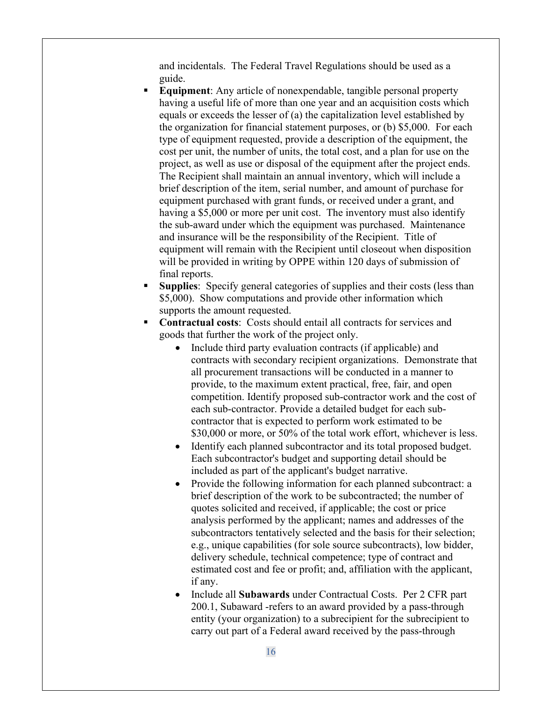and incidentals. The Federal Travel Regulations should be used as a guide.

- **Equipment:** Any article of nonexpendable, tangible personal property having a useful life of more than one year and an acquisition costs which equals or exceeds the lesser of (a) the capitalization level established by the organization for financial statement purposes, or (b) \$5,000. For each type of equipment requested, provide a description of the equipment, the cost per unit, the number of units, the total cost, and a plan for use on the project, as well as use or disposal of the equipment after the project ends. The Recipient shall maintain an annual inventory, which will include a brief description of the item, serial number, and amount of purchase for equipment purchased with grant funds, or received under a grant, and having a \$5,000 or more per unit cost. The inventory must also identify the sub-award under which the equipment was purchased. Maintenance and insurance will be the responsibility of the Recipient. Title of equipment will remain with the Recipient until closeout when disposition will be provided in writing by OPPE within 120 days of submission of final reports.
- **Supplies:** Specify general categories of supplies and their costs (less than \$5,000). Show computations and provide other information which supports the amount requested.
- **Contractual costs**: Costs should entail all contracts for services and goods that further the work of the project only.
	- Include third party evaluation contracts (if applicable) and contracts with secondary recipient organizations. Demonstrate that all procurement transactions will be conducted in a manner to provide, to the maximum extent practical, free, fair, and open competition. Identify proposed sub-contractor work and the cost of each sub-contractor. Provide a detailed budget for each subcontractor that is expected to perform work estimated to be \$30,000 or more, or 50% of the total work effort, whichever is less.
	- Identify each planned subcontractor and its total proposed budget. Each subcontractor's budget and supporting detail should be included as part of the applicant's budget narrative.
	- Provide the following information for each planned subcontract: a brief description of the work to be subcontracted; the number of quotes solicited and received, if applicable; the cost or price analysis performed by the applicant; names and addresses of the subcontractors tentatively selected and the basis for their selection; e.g., unique capabilities (for sole source subcontracts), low bidder, delivery schedule, technical competence; type of contract and estimated cost and fee or profit; and, affiliation with the applicant, if any.
	- Include all **Subawards** under Contractual Costs. Per 2 CFR part 200.1, Subaward -refers to an award provided by a pass-through entity (your organization) to a subrecipient for the subrecipient to carry out part of a Federal award received by the pass-through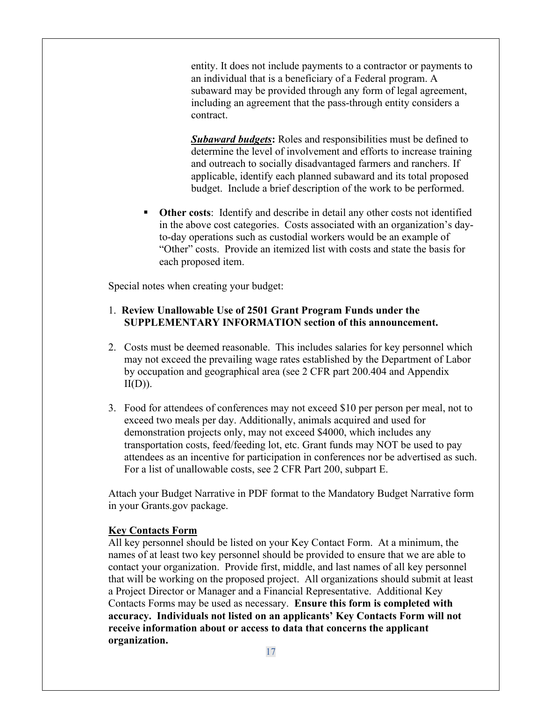entity. It does not include payments to a contractor or payments to an individual that is a beneficiary of a Federal program. A subaward may be provided through any form of legal agreement, including an agreement that the pass-through entity considers a contract.

*Subaward budgets***:** Roles and responsibilities must be defined to determine the level of involvement and efforts to increase training and outreach to socially disadvantaged farmers and ranchers. If applicable, identify each planned subaward and its total proposed budget. Include a brief description of the work to be performed.

 **Other costs**: Identify and describe in detail any other costs not identified in the above cost categories. Costs associated with an organization's dayto-day operations such as custodial workers would be an example of "Other" costs. Provide an itemized list with costs and state the basis for each proposed item.

Special notes when creating your budget:

### 1. **Review Unallowable Use of 2501 Grant Program Funds under the SUPPLEMENTARY INFORMATION section of this announcement.**

- 2. Costs must be deemed reasonable. This includes salaries for key personnel which may not exceed the prevailing wage rates established by the Department of Labor by occupation and geographical area (see 2 CFR part 200.404 and Appendix  $II(D)$ ).
- 3. Food for attendees of conferences may not exceed \$10 per person per meal, not to exceed two meals per day. Additionally, animals acquired and used for demonstration projects only, may not exceed \$4000, which includes any transportation costs, feed/feeding lot, etc. Grant funds may NOT be used to pay attendees as an incentive for participation in conferences nor be advertised as such. For a list of unallowable costs, see 2 CFR Part 200, subpart E.

Attach your Budget Narrative in PDF format to the Mandatory Budget Narrative form in your Grants.gov package.

#### **Key Contacts Form**

All key personnel should be listed on your Key Contact Form. At a minimum, the names of at least two key personnel should be provided to ensure that we are able to contact your organization. Provide first, middle, and last names of all key personnel that will be working on the proposed project. All organizations should submit at least a Project Director or Manager and a Financial Representative. Additional Key Contacts Forms may be used as necessary. **Ensure this form is completed with accuracy. Individuals not listed on an applicants' Key Contacts Form will not receive information about or access to data that concerns the applicant organization.**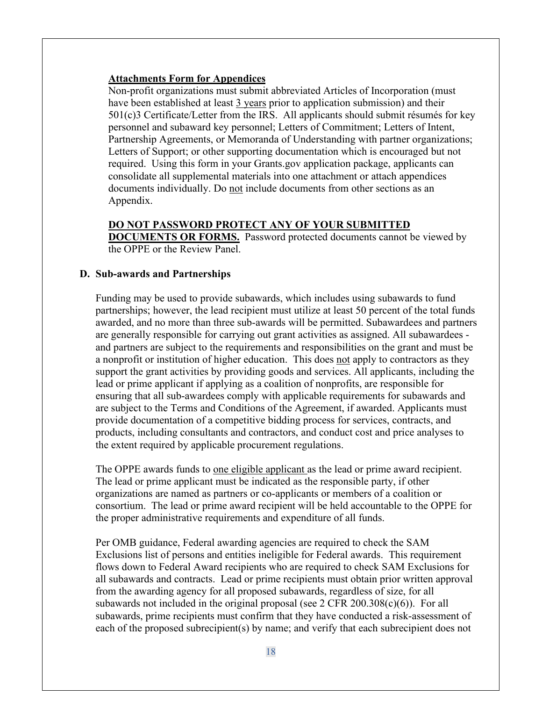#### **Attachments Form for Appendices**

Non-profit organizations must submit abbreviated Articles of Incorporation (must have been established at least 3 years prior to application submission) and their 501(c)3 Certificate/Letter from the IRS. All applicants should submit résumés for key personnel and subaward key personnel; Letters of Commitment; Letters of Intent, Partnership Agreements, or Memoranda of Understanding with partner organizations; Letters of Support; or other supporting documentation which is encouraged but not required. Using this form in your Grants.gov application package, applicants can consolidate all supplemental materials into one attachment or attach appendices documents individually. Do not include documents from other sections as an Appendix.

#### **DO NOT PASSWORD PROTECT ANY OF YOUR SUBMITTED**

**DOCUMENTS OR FORMS.** Password protected documents cannot be viewed by the OPPE or the Review Panel.

#### **D. Sub-awards and Partnerships**

Funding may be used to provide subawards, which includes using subawards to fund partnerships; however, the lead recipient must utilize at least 50 percent of the total funds awarded, and no more than three sub-awards will be permitted. Subawardees and partners are generally responsible for carrying out grant activities as assigned. All subawardees and partners are subject to the requirements and responsibilities on the grant and must be a nonprofit or institution of higher education. This does not apply to contractors as they support the grant activities by providing goods and services. All applicants, including the lead or prime applicant if applying as a coalition of nonprofits, are responsible for ensuring that all sub-awardees comply with applicable requirements for subawards and are subject to the Terms and Conditions of the Agreement, if awarded. Applicants must provide documentation of a competitive bidding process for services, contracts, and products, including consultants and contractors, and conduct cost and price analyses to the extent required by applicable procurement regulations.

The OPPE awards funds to one eligible applicant as the lead or prime award recipient. The lead or prime applicant must be indicated as the responsible party, if other organizations are named as partners or co-applicants or members of a coalition or consortium. The lead or prime award recipient will be held accountable to the OPPE for the proper administrative requirements and expenditure of all funds.

Per OMB guidance, Federal awarding agencies are required to check the SAM Exclusions list of persons and entities ineligible for Federal awards. This requirement flows down to Federal Award recipients who are required to check SAM Exclusions for all subawards and contracts. Lead or prime recipients must obtain prior written approval from the awarding agency for all proposed subawards, regardless of size, for all subawards not included in the original proposal (see  $2 \text{ CFR } 200.308(c)(6)$ ). For all subawards, prime recipients must confirm that they have conducted a risk-assessment of each of the proposed subrecipient(s) by name; and verify that each subrecipient does not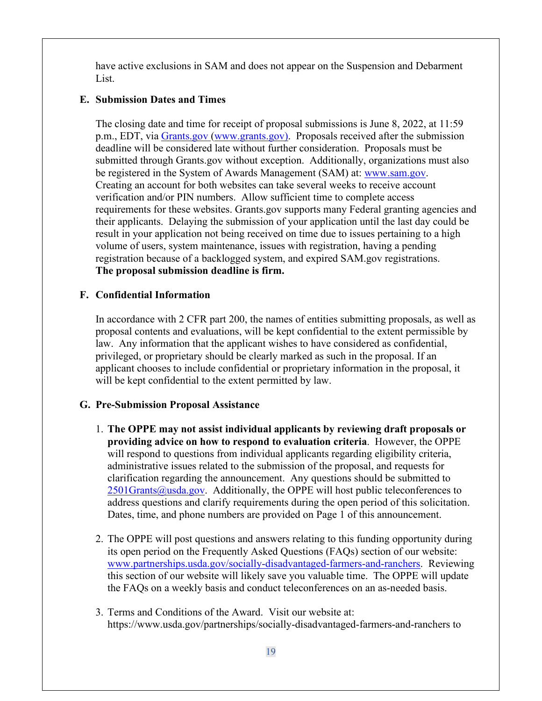have active exclusions in SAM and does not appear on the Suspension and Debarment List.

### **E. Submission Dates and Times**

The closing date and time for receipt of proposal submissions is June 8, 2022, at 11:59 p.m., EDT, via [Grants.gov](http://www.grants.gov/) [\(www.grants.gov\)](http://www.grants.gov/). Proposals received after the submission deadline will be considered late without further consideration. Proposals must be submitted through Grants.gov without exception. Additionally, organizations must also be registered in the System of Awards Management (SAM) at: [www.sam.gov.](http://www.sam.gov/) Creating an account for both websites can take several weeks to receive account verification and/or PIN numbers. Allow sufficient time to complete access requirements for these websites. Grants.gov supports many Federal granting agencies and their applicants. Delaying the submission of your application until the last day could be result in your application not being received on time due to issues pertaining to a high volume of users, system maintenance, issues with registration, having a pending registration because of a backlogged system, and expired SAM.gov registrations. **The proposal submission deadline is firm.** 

### **F. Confidential Information**

In accordance with 2 CFR part 200, the names of entities submitting proposals, as well as proposal contents and evaluations, will be kept confidential to the extent permissible by law. Any information that the applicant wishes to have considered as confidential, privileged, or proprietary should be clearly marked as such in the proposal. If an applicant chooses to include confidential or proprietary information in the proposal, it will be kept confidential to the extent permitted by law.

## **G. Pre-Submission Proposal Assistance**

- 1. **The OPPE may not assist individual applicants by reviewing draft proposals or providing advice on how to respond to evaluation criteria**. However, the OPPE will respond to questions from individual applicants regarding eligibility criteria, administrative issues related to the submission of the proposal, and requests for clarification regarding the announcement. Any questions should be submitted to  $2501$ Grants@usda.gov. Additionally, the OPPE will host public teleconferences to address questions and clarify requirements during the open period of this solicitation. Dates, time, and phone numbers are provided on Page 1 of this announcement.
- 2. The OPPE will post questions and answers relating to this funding opportunity during its open period on the Frequently Asked Questions (FAQs) section of our website: [www.partnerships.usda.gov/socially-disadvantaged-farmers-and-ranchers.](http://www.partnerships.usda.gov/socially-disadvantaged-farmers) Reviewing this section of our website will likely save you valuable time. The OPPE will update the FAQs on a weekly basis and conduct teleconferences on an as-needed basis.
- 3. Terms and Conditions of the Award. Visit our website at: https://www.usda.gov/partnerships/socially-disadvantaged-farmers-and-ranchers to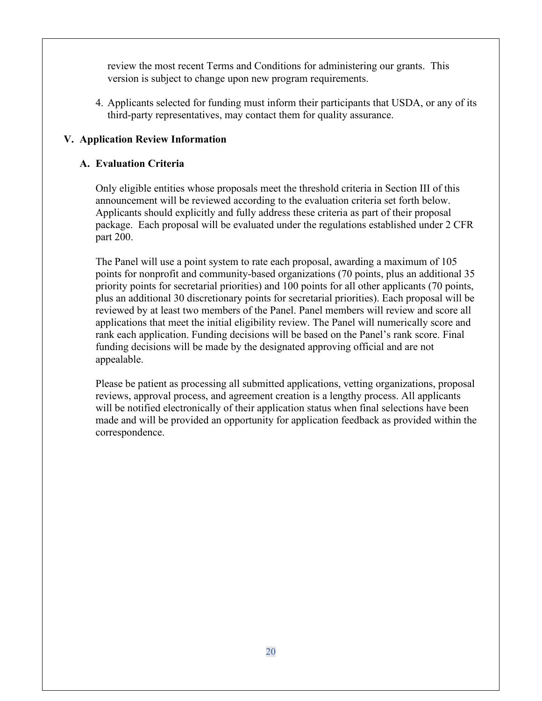review the most recent Terms and Conditions for administering our grants. This version is subject to change upon new program requirements.

4. Applicants selected for funding must inform their participants that USDA, or any of its third-party representatives, may contact them for quality assurance.

# **V. Application Review Information**

## **A. Evaluation Criteria**

Only eligible entities whose proposals meet the threshold criteria in Section III of this announcement will be reviewed according to the evaluation criteria set forth below. Applicants should explicitly and fully address these criteria as part of their proposal package. Each proposal will be evaluated under the regulations established under 2 CFR part 200.

The Panel will use a point system to rate each proposal, awarding a maximum of 105 points for nonprofit and community-based organizations (70 points, plus an additional 35 priority points for secretarial priorities) and 100 points for all other applicants (70 points, plus an additional 30 discretionary points for secretarial priorities). Each proposal will be reviewed by at least two members of the Panel. Panel members will review and score all applications that meet the initial eligibility review. The Panel will numerically score and rank each application. Funding decisions will be based on the Panel's rank score. Final funding decisions will be made by the designated approving official and are not appealable.

Please be patient as processing all submitted applications, vetting organizations, proposal reviews, approval process, and agreement creation is a lengthy process. All applicants will be notified electronically of their application status when final selections have been made and will be provided an opportunity for application feedback as provided within the correspondence.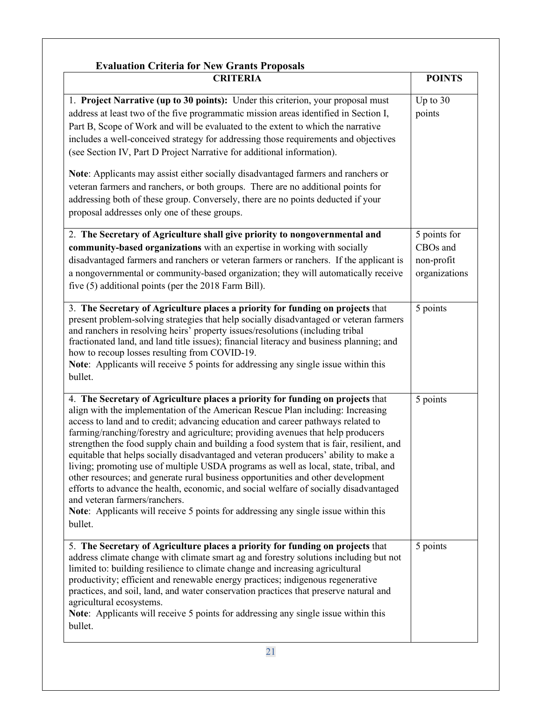| <b>Evaluation Criteria for New Grants Proposals</b><br><b>CRITERIA</b>                                                                                                                                                                                                                                                                                                                                                                                                                                                                                                                                                                                                                                                                                                                                                                                                                                                               | <b>POINTS</b>                                                       |
|--------------------------------------------------------------------------------------------------------------------------------------------------------------------------------------------------------------------------------------------------------------------------------------------------------------------------------------------------------------------------------------------------------------------------------------------------------------------------------------------------------------------------------------------------------------------------------------------------------------------------------------------------------------------------------------------------------------------------------------------------------------------------------------------------------------------------------------------------------------------------------------------------------------------------------------|---------------------------------------------------------------------|
| 1. Project Narrative (up to 30 points): Under this criterion, your proposal must<br>address at least two of the five programmatic mission areas identified in Section I,<br>Part B, Scope of Work and will be evaluated to the extent to which the narrative<br>includes a well-conceived strategy for addressing those requirements and objectives<br>(see Section IV, Part D Project Narrative for additional information).                                                                                                                                                                                                                                                                                                                                                                                                                                                                                                        | Up to 30<br>points                                                  |
| Note: Applicants may assist either socially disadvantaged farmers and ranchers or<br>veteran farmers and ranchers, or both groups. There are no additional points for<br>addressing both of these group. Conversely, there are no points deducted if your<br>proposal addresses only one of these groups.                                                                                                                                                                                                                                                                                                                                                                                                                                                                                                                                                                                                                            |                                                                     |
| 2. The Secretary of Agriculture shall give priority to nongovernmental and<br>community-based organizations with an expertise in working with socially<br>disadvantaged farmers and ranchers or veteran farmers or ranchers. If the applicant is<br>a nongovernmental or community-based organization; they will automatically receive<br>five (5) additional points (per the 2018 Farm Bill).                                                                                                                                                                                                                                                                                                                                                                                                                                                                                                                                       | 5 points for<br>CBO <sub>s</sub> and<br>non-profit<br>organizations |
| 3. The Secretary of Agriculture places a priority for funding on projects that<br>present problem-solving strategies that help socially disadvantaged or veteran farmers<br>and ranchers in resolving heirs' property issues/resolutions (including tribal<br>fractionated land, and land title issues); financial literacy and business planning; and<br>how to recoup losses resulting from COVID-19.<br>Note: Applicants will receive 5 points for addressing any single issue within this<br>bullet.                                                                                                                                                                                                                                                                                                                                                                                                                             | 5 points                                                            |
| 4. The Secretary of Agriculture places a priority for funding on projects that<br>align with the implementation of the American Rescue Plan including: Increasing<br>access to land and to credit; advancing education and career pathways related to<br>farming/ranching/forestry and agriculture; providing avenues that help producers<br>strengthen the food supply chain and building a food system that is fair, resilient, and<br>equitable that helps socially disadvantaged and veteran producers' ability to make a<br>living; promoting use of multiple USDA programs as well as local, state, tribal, and<br>other resources; and generate rural business opportunities and other development<br>efforts to advance the health, economic, and social welfare of socially disadvantaged<br>and veteran farmers/ranchers.<br>Note: Applicants will receive 5 points for addressing any single issue within this<br>bullet. | 5 points                                                            |
| 5. The Secretary of Agriculture places a priority for funding on projects that<br>address climate change with climate smart ag and forestry solutions including but not<br>limited to: building resilience to climate change and increasing agricultural<br>productivity; efficient and renewable energy practices; indigenous regenerative<br>practices, and soil, land, and water conservation practices that preserve natural and<br>agricultural ecosystems.<br>Note: Applicants will receive 5 points for addressing any single issue within this<br>bullet.                                                                                                                                                                                                                                                                                                                                                                    | 5 points                                                            |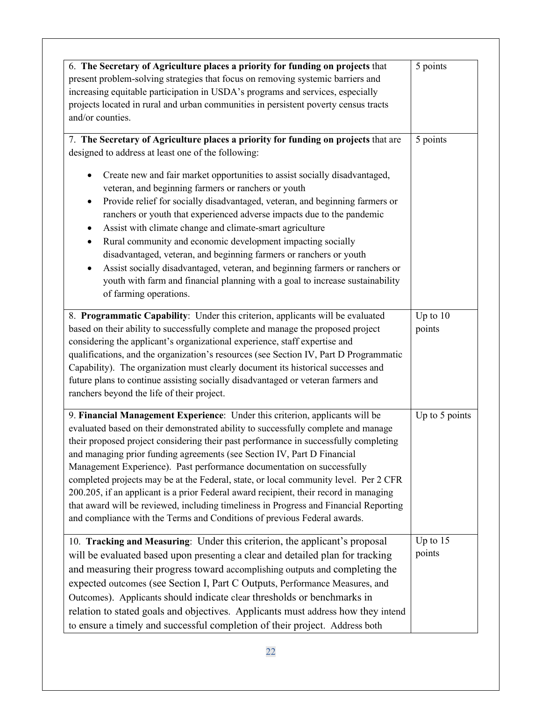| 6. The Secretary of Agriculture places a priority for funding on projects that            | 5 points       |
|-------------------------------------------------------------------------------------------|----------------|
| present problem-solving strategies that focus on removing systemic barriers and           |                |
| increasing equitable participation in USDA's programs and services, especially            |                |
| projects located in rural and urban communities in persistent poverty census tracts       |                |
| and/or counties.                                                                          |                |
| 7. The Secretary of Agriculture places a priority for funding on projects that are        | 5 points       |
| designed to address at least one of the following:                                        |                |
| Create new and fair market opportunities to assist socially disadvantaged,<br>٠           |                |
| veteran, and beginning farmers or ranchers or youth                                       |                |
| Provide relief for socially disadvantaged, veteran, and beginning farmers or<br>$\bullet$ |                |
| ranchers or youth that experienced adverse impacts due to the pandemic                    |                |
| Assist with climate change and climate-smart agriculture                                  |                |
| Rural community and economic development impacting socially<br>$\bullet$                  |                |
| disadvantaged, veteran, and beginning farmers or ranchers or youth                        |                |
| Assist socially disadvantaged, veteran, and beginning farmers or ranchers or<br>$\bullet$ |                |
| youth with farm and financial planning with a goal to increase sustainability             |                |
| of farming operations.                                                                    |                |
| 8. Programmatic Capability: Under this criterion, applicants will be evaluated            | Up to $10$     |
| based on their ability to successfully complete and manage the proposed project           | points         |
| considering the applicant's organizational experience, staff expertise and                |                |
| qualifications, and the organization's resources (see Section IV, Part D Programmatic     |                |
| Capability). The organization must clearly document its historical successes and          |                |
| future plans to continue assisting socially disadvantaged or veteran farmers and          |                |
| ranchers beyond the life of their project.                                                |                |
| 9. Financial Management Experience: Under this criterion, applicants will be              | Up to 5 points |
| evaluated based on their demonstrated ability to successfully complete and manage         |                |
| their proposed project considering their past performance in successfully completing      |                |
| and managing prior funding agreements (see Section IV, Part D Financial                   |                |
| Management Experience). Past performance documentation on successfully                    |                |
| completed projects may be at the Federal, state, or local community level. Per 2 CFR      |                |
| 200.205, if an applicant is a prior Federal award recipient, their record in managing     |                |
| that award will be reviewed, including timeliness in Progress and Financial Reporting     |                |
| and compliance with the Terms and Conditions of previous Federal awards.                  |                |
| 10. Tracking and Measuring: Under this criterion, the applicant's proposal                | Up to 15       |
| will be evaluated based upon presenting a clear and detailed plan for tracking            | points         |
| and measuring their progress toward accomplishing outputs and completing the              |                |
| expected outcomes (see Section I, Part C Outputs, Performance Measures, and               |                |
| Outcomes). Applicants should indicate clear thresholds or benchmarks in                   |                |
| relation to stated goals and objectives. Applicants must address how they intend          |                |
| to ensure a timely and successful completion of their project. Address both               |                |
|                                                                                           |                |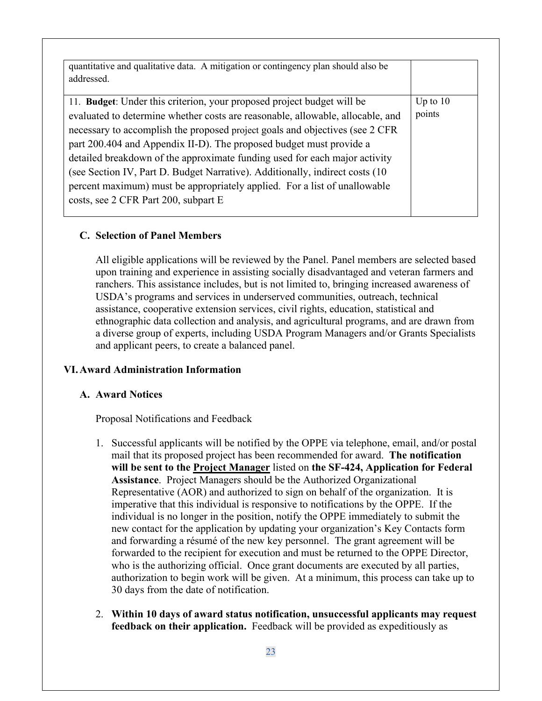| quantitative and qualitative data. A mitigation or contingency plan should also be<br>addressed.                                                                                                                                                                                                                                                                                                                                                                                                                                                            |                      |
|-------------------------------------------------------------------------------------------------------------------------------------------------------------------------------------------------------------------------------------------------------------------------------------------------------------------------------------------------------------------------------------------------------------------------------------------------------------------------------------------------------------------------------------------------------------|----------------------|
| 11. Budget: Under this criterion, your proposed project budget will be<br>evaluated to determine whether costs are reasonable, allowable, allocable, and<br>necessary to accomplish the proposed project goals and objectives (see 2 CFR<br>part 200.404 and Appendix II-D). The proposed budget must provide a<br>detailed breakdown of the approximate funding used for each major activity<br>(see Section IV, Part D. Budget Narrative). Additionally, indirect costs (10)<br>percent maximum) must be appropriately applied. For a list of unallowable | Up to $10$<br>points |
| costs, see 2 CFR Part 200, subpart E                                                                                                                                                                                                                                                                                                                                                                                                                                                                                                                        |                      |

### **C. Selection of Panel Members**

All eligible applications will be reviewed by the Panel. Panel members are selected based upon training and experience in assisting socially disadvantaged and veteran farmers and ranchers. This assistance includes, but is not limited to, bringing increased awareness of USDA's programs and services in underserved communities, outreach, technical assistance, cooperative extension services, civil rights, education, statistical and ethnographic data collection and analysis, and agricultural programs, and are drawn from a diverse group of experts, including USDA Program Managers and/or Grants Specialists and applicant peers, to create a balanced panel.

## **VI.Award Administration Information**

## **A. Award Notices**

Proposal Notifications and Feedback

- 1. Successful applicants will be notified by the OPPE via telephone, email, and/or postal mail that its proposed project has been recommended for award. **The notification will be sent to the Project Manager** listed on **the SF-424, Application for Federal Assistance**. Project Managers should be the Authorized Organizational Representative (AOR) and authorized to sign on behalf of the organization. It is imperative that this individual is responsive to notifications by the OPPE. If the individual is no longer in the position, notify the OPPE immediately to submit the new contact for the application by updating your organization's Key Contacts form and forwarding a résumé of the new key personnel. The grant agreement will be forwarded to the recipient for execution and must be returned to the OPPE Director, who is the authorizing official. Once grant documents are executed by all parties, authorization to begin work will be given. At a minimum, this process can take up to 30 days from the date of notification.
- 2. **Within 10 days of award status notification, unsuccessful applicants may request feedback on their application.** Feedback will be provided as expeditiously as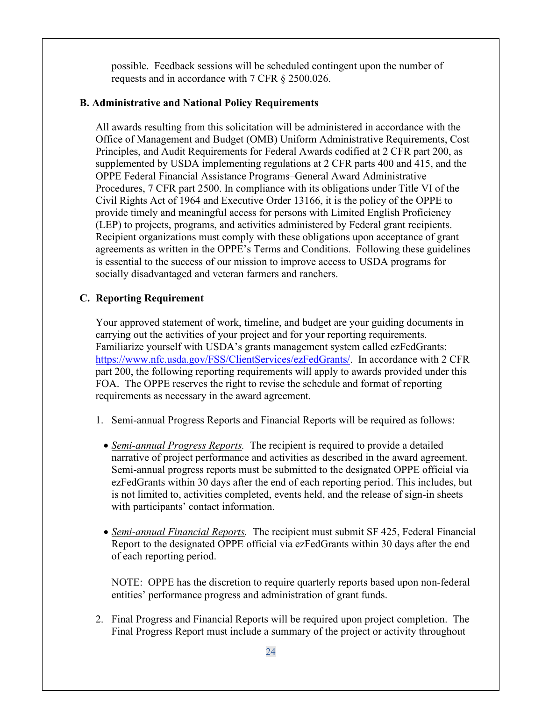possible. Feedback sessions will be scheduled contingent upon the number of requests and in accordance with 7 CFR § 2500.026.

# **B. Administrative and National Policy Requirements**

All awards resulting from this solicitation will be administered in accordance with the Office of Management and Budget (OMB) Uniform Administrative Requirements, Cost Principles, and Audit Requirements for Federal Awards codified at 2 CFR part 200, as supplemented by USDA implementing regulations at 2 CFR parts 400 and 415, and the OPPE Federal Financial Assistance Programs–General Award Administrative Procedures, 7 CFR part 2500. In compliance with its obligations under Title VI of the Civil Rights Act of 1964 and Executive Order 13166, it is the policy of the OPPE to provide timely and meaningful access for persons with Limited English Proficiency (LEP) to projects, programs, and activities administered by Federal grant recipients. Recipient organizations must comply with these obligations upon acceptance of grant agreements as written in the OPPE's Terms and Conditions. Following these guidelines is essential to the success of our mission to improve access to USDA programs for socially disadvantaged and veteran farmers and ranchers.

# **C. Reporting Requirement**

Your approved statement of work, timeline, and budget are your guiding documents in carrying out the activities of your project and for your reporting requirements. Familiarize yourself with USDA's grants management system called ezFedGrants: [https://www.nfc.usda.gov/FSS/ClientServices/ezFedGrants/.](https://www.nfc.usda.gov/FSS/ClientServices/ezFedGrants/) In accordance with 2 CFR part 200, the following reporting requirements will apply to awards provided under this FOA. The OPPE reserves the right to revise the schedule and format of reporting requirements as necessary in the award agreement.

- 1. Semi-annual Progress Reports and Financial Reports will be required as follows:
	- *Semi-annual Progress Reports.* The recipient is required to provide a detailed narrative of project performance and activities as described in the award agreement. Semi-annual progress reports must be submitted to the designated OPPE official via ezFedGrants within 30 days after the end of each reporting period. This includes, but is not limited to, activities completed, events held, and the release of sign-in sheets with participants' contact information.
	- *Semi-annual Financial Reports.* The recipient must submit SF 425, Federal Financial Report to the designated OPPE official via ezFedGrants within 30 days after the end of each reporting period.

NOTE: OPPE has the discretion to require quarterly reports based upon non-federal entities' performance progress and administration of grant funds.

2. Final Progress and Financial Reports will be required upon project completion. The Final Progress Report must include a summary of the project or activity throughout